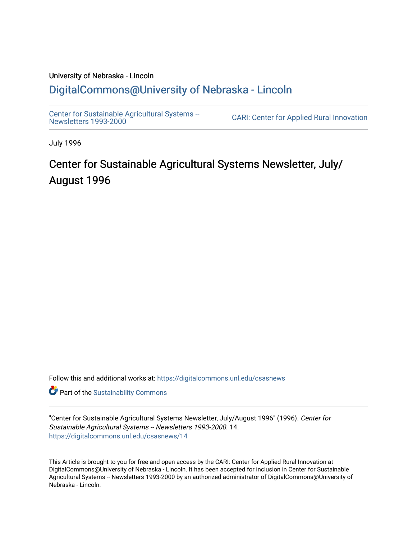### University of Nebraska - Lincoln [DigitalCommons@University of Nebraska - Lincoln](https://digitalcommons.unl.edu/)

[Center for Sustainable Agricultural Systems --](https://digitalcommons.unl.edu/csasnews)<br>Newsletters 1993-2000

CARI: Center for Applied Rural Innovation

July 1996

## Center for Sustainable Agricultural Systems Newsletter, July/ August 1996

Follow this and additional works at: [https://digitalcommons.unl.edu/csasnews](https://digitalcommons.unl.edu/csasnews?utm_source=digitalcommons.unl.edu%2Fcsasnews%2F14&utm_medium=PDF&utm_campaign=PDFCoverPages) 

**Part of the [Sustainability Commons](http://network.bepress.com/hgg/discipline/1031?utm_source=digitalcommons.unl.edu%2Fcsasnews%2F14&utm_medium=PDF&utm_campaign=PDFCoverPages)** 

"Center for Sustainable Agricultural Systems Newsletter, July/August 1996" (1996). Center for Sustainable Agricultural Systems -- Newsletters 1993-2000. 14. [https://digitalcommons.unl.edu/csasnews/14](https://digitalcommons.unl.edu/csasnews/14?utm_source=digitalcommons.unl.edu%2Fcsasnews%2F14&utm_medium=PDF&utm_campaign=PDFCoverPages) 

This Article is brought to you for free and open access by the CARI: Center for Applied Rural Innovation at DigitalCommons@University of Nebraska - Lincoln. It has been accepted for inclusion in Center for Sustainable Agricultural Systems -- Newsletters 1993-2000 by an authorized administrator of DigitalCommons@University of Nebraska - Lincoln.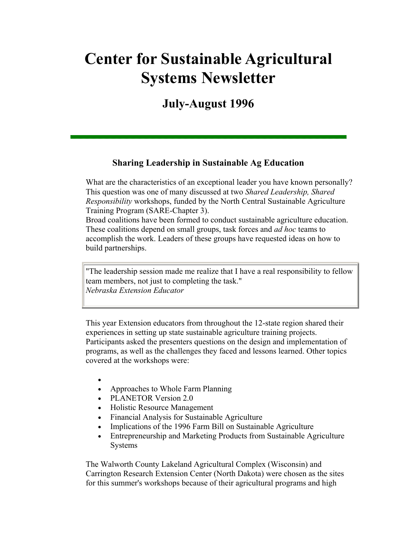# **Center for Sustainable Agricultural Systems Newsletter**

## **July-August 1996**

#### **Sharing Leadership in Sustainable Ag Education**

What are the characteristics of an exceptional leader you have known personally? This question was one of many discussed at two *Shared Leadership, Shared Responsibility* workshops, funded by the North Central Sustainable Agriculture Training Program (SARE-Chapter 3).

Broad coalitions have been formed to conduct sustainable agriculture education. These coalitions depend on small groups, task forces and *ad hoc* teams to accomplish the work. Leaders of these groups have requested ideas on how to build partnerships.

"The leadership session made me realize that I have a real responsibility to fellow team members, not just to completing the task." *Nebraska Extension Educator*

This year Extension educators from throughout the 12-state region shared their experiences in setting up state sustainable agriculture training projects. Participants asked the presenters questions on the design and implementation of programs, as well as the challenges they faced and lessons learned. Other topics covered at the workshops were:

- •
- Approaches to Whole Farm Planning
- PLANETOR Version 2.0
- Holistic Resource Management
- Financial Analysis for Sustainable Agriculture
- Implications of the 1996 Farm Bill on Sustainable Agriculture
- Entrepreneurship and Marketing Products from Sustainable Agriculture Systems

The Walworth County Lakeland Agricultural Complex (Wisconsin) and Carrington Research Extension Center (North Dakota) were chosen as the sites for this summer's workshops because of their agricultural programs and high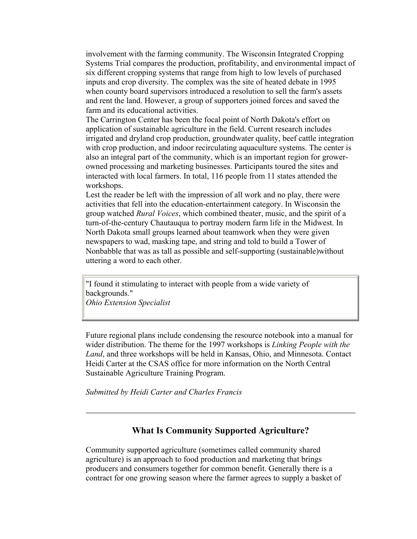involvement with the farming community. The Wisconsin Integrated Cropping Systems Trial compares the production, profitability, and environmental impact of six different cropping systems that range from high to low levels of purchased inputs and crop diversity. The complex was the site of heated debate in 1995 when county board supervisors introduced a resolution to sell the farm's assets and rent the land. However, a group of supporters joined forces and saved the farm and its educational activities.

The Carrington Center has been the focal point of North Dakota's effort on application of sustainable agriculture in the field. Current research includes irrigated and dryland crop production, groundwater quality, beef cattle integration with crop production, and indoor recirculating aquaculture systems. The center is also an integral part of the community, which is an important region for growerowned processing and marketing businesses. Participants toured the sites and interacted with local farmers. In total, 116 people from 11 states attended the workshops.

Lest the reader be left with the impression of all work and no play, there were activities that fell into the education-entertainment category. In Wisconsin the group watched *Rural Voices*, which combined theater, music, and the spirit of a turn-of-the-century Chautauqua to portray modern farm life in the Midwest. In North Dakota small groups learned about teamwork when they were given newspapers to wad, masking tape, and string and told to build a Tower of Nonbabble that was as tall as possible and self-supporting (sustainable)without uttering a word to each other.

"I found it stimulating to interact with people from a wide variety of backgrounds."

*Ohio Extension Specialist*

Future regional plans include condensing the resource notebook into a manual for wider distribution. The theme for the 1997 workshops is *Linking People with the Land*, and three workshops will be held in Kansas, Ohio, and Minnesota. Contact Heidi Carter at the CSAS office for more information on the North Central Sustainable Agriculture Training Program.

*Submitted by Heidi Carter and Charles Francis*

#### **What Is Community Supported Agriculture?**

Community supported agriculture (sometimes called community shared agriculture) is an approach to food production and marketing that brings producers and consumers together for common benefit. Generally there is a contract for one growing season where the farmer agrees to supply a basket of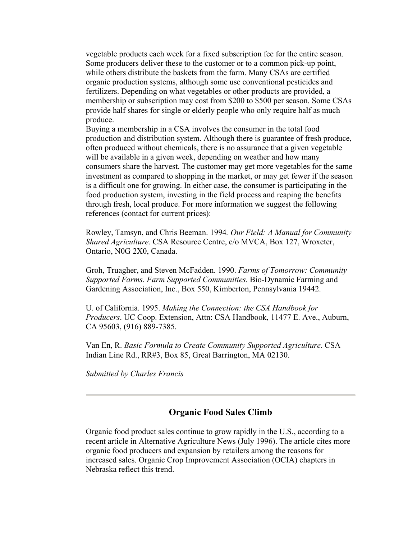vegetable products each week for a fixed subscription fee for the entire season. Some producers deliver these to the customer or to a common pick-up point, while others distribute the baskets from the farm. Many CSAs are certified organic production systems, although some use conventional pesticides and fertilizers. Depending on what vegetables or other products are provided, a membership or subscription may cost from \$200 to \$500 per season. Some CSAs provide half shares for single or elderly people who only require half as much produce.

Buying a membership in a CSA involves the consumer in the total food production and distribution system. Although there is guarantee of fresh produce, often produced without chemicals, there is no assurance that a given vegetable will be available in a given week, depending on weather and how many consumers share the harvest. The customer may get more vegetables for the same investment as compared to shopping in the market, or may get fewer if the season is a difficult one for growing. In either case, the consumer is participating in the food production system, investing in the field process and reaping the benefits through fresh, local produce. For more information we suggest the following references (contact for current prices):

Rowley, Tamsyn, and Chris Beeman. 1994*. Our Field: A Manual for Community Shared Agriculture*. CSA Resource Centre, c/o MVCA, Box 127, Wroxeter, Ontario, N0G 2X0, Canada.

Groh, Truagher, and Steven McFadden. 1990. *Farms of Tomorrow: Community Supported Farms. Farm Supported Communities*. Bio-Dynamic Farming and Gardening Association, Inc., Box 550, Kimberton, Pennsylvania 19442.

U. of California. 1995. *Making the Connection: the CSA Handbook for Producers*. UC Coop. Extension, Attn: CSA Handbook, 11477 E. Ave., Auburn, CA 95603, (916) 889-7385.

Van En, R. *Basic Formula to Create Community Supported Agriculture*. CSA Indian Line Rd., RR#3, Box 85, Great Barrington, MA 02130.

*Submitted by Charles Francis*

#### **Organic Food Sales Climb**

Organic food product sales continue to grow rapidly in the U.S., according to a recent article in Alternative Agriculture News (July 1996). The article cites more organic food producers and expansion by retailers among the reasons for increased sales. Organic Crop Improvement Association (OCIA) chapters in Nebraska reflect this trend.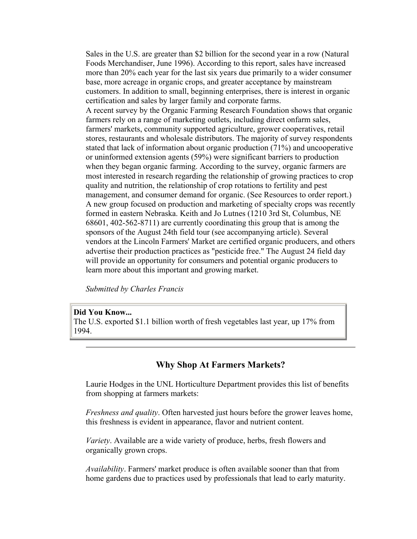Sales in the U.S. are greater than \$2 billion for the second year in a row (Natural Foods Merchandiser, June 1996). According to this report, sales have increased more than 20% each year for the last six years due primarily to a wider consumer base, more acreage in organic crops, and greater acceptance by mainstream customers. In addition to small, beginning enterprises, there is interest in organic certification and sales by larger family and corporate farms.

A recent survey by the Organic Farming Research Foundation shows that organic farmers rely on a range of marketing outlets, including direct onfarm sales, farmers' markets, community supported agriculture, grower cooperatives, retail stores, restaurants and wholesale distributors. The majority of survey respondents stated that lack of information about organic production (71%) and uncooperative or uninformed extension agents (59%) were significant barriers to production when they began organic farming. According to the survey, organic farmers are most interested in research regarding the relationship of growing practices to crop quality and nutrition, the relationship of crop rotations to fertility and pest management, and consumer demand for organic. (See Resources to order report.) A new group focused on production and marketing of specialty crops was recently formed in eastern Nebraska. Keith and Jo Lutnes (1210 3rd St, Columbus, NE 68601, 402-562-8711) are currently coordinating this group that is among the sponsors of the August 24th field tour (see accompanying article). Several vendors at the Lincoln Farmers' Market are certified organic producers, and others advertise their production practices as "pesticide free." The August 24 field day will provide an opportunity for consumers and potential organic producers to learn more about this important and growing market.

*Submitted by Charles Francis*

#### **Did You Know...** The U.S. exported \$1.1 billion worth of fresh vegetables last year, up 17% from 1994.

#### **Why Shop At Farmers Markets?**

Laurie Hodges in the UNL Horticulture Department provides this list of benefits from shopping at farmers markets:

*Freshness and quality*. Often harvested just hours before the grower leaves home, this freshness is evident in appearance, flavor and nutrient content.

*Variety*. Available are a wide variety of produce, herbs, fresh flowers and organically grown crops.

*Availability*. Farmers' market produce is often available sooner than that from home gardens due to practices used by professionals that lead to early maturity.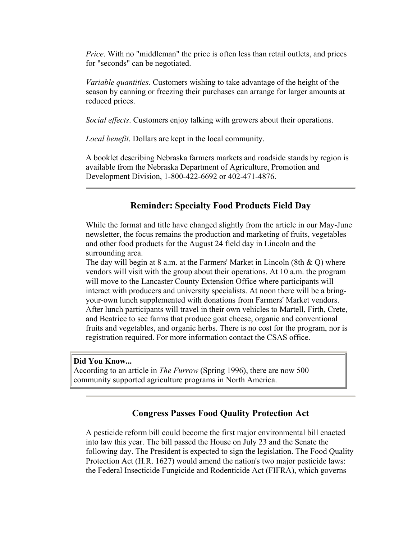*Price*. With no "middleman" the price is often less than retail outlets, and prices for "seconds" can be negotiated.

*Variable quantities*. Customers wishing to take advantage of the height of the season by canning or freezing their purchases can arrange for larger amounts at reduced prices.

*Social effects*. Customers enjoy talking with growers about their operations.

*Local benefit*. Dollars are kept in the local community.

A booklet describing Nebraska farmers markets and roadside stands by region is available from the Nebraska Department of Agriculture, Promotion and Development Division, 1-800-422-6692 or 402-471-4876.

#### **Reminder: Specialty Food Products Field Day**

While the format and title have changed slightly from the article in our May-June newsletter, the focus remains the production and marketing of fruits, vegetables and other food products for the August 24 field day in Lincoln and the surrounding area.

The day will begin at 8 a.m. at the Farmers' Market in Lincoln (8th  $\&$  O) where vendors will visit with the group about their operations. At 10 a.m. the program will move to the Lancaster County Extension Office where participants will interact with producers and university specialists. At noon there will be a bringyour-own lunch supplemented with donations from Farmers' Market vendors. After lunch participants will travel in their own vehicles to Martell, Firth, Crete, and Beatrice to see farms that produce goat cheese, organic and conventional fruits and vegetables, and organic herbs. There is no cost for the program, nor is registration required. For more information contact the CSAS office.

#### **Did You Know...**

According to an article in *The Furrow* (Spring 1996), there are now 500 community supported agriculture programs in North America.

#### **Congress Passes Food Quality Protection Act**

A pesticide reform bill could become the first major environmental bill enacted into law this year. The bill passed the House on July 23 and the Senate the following day. The President is expected to sign the legislation. The Food Quality Protection Act (H.R. 1627) would amend the nation's two major pesticide laws: the Federal Insecticide Fungicide and Rodenticide Act (FIFRA), which governs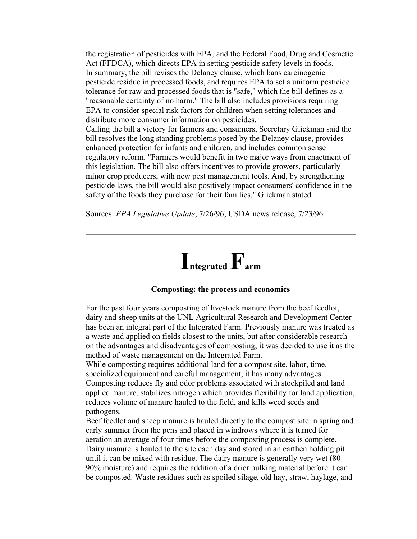the registration of pesticides with EPA, and the Federal Food, Drug and Cosmetic Act (FFDCA), which directs EPA in setting pesticide safety levels in foods. In summary, the bill revises the Delaney clause, which bans carcinogenic pesticide residue in processed foods, and requires EPA to set a uniform pesticide tolerance for raw and processed foods that is "safe," which the bill defines as a "reasonable certainty of no harm." The bill also includes provisions requiring EPA to consider special risk factors for children when setting tolerances and distribute more consumer information on pesticides. Calling the bill a victory for farmers and consumers, Secretary Glickman said the bill resolves the long standing problems posed by the Delaney clause, provides

enhanced protection for infants and children, and includes common sense regulatory reform. "Farmers would benefit in two major ways from enactment of this legislation. The bill also offers incentives to provide growers, particularly minor crop producers, with new pest management tools. And, by strengthening pesticide laws, the bill would also positively impact consumers' confidence in the safety of the foods they purchase for their families," Glickman stated.

Sources: *EPA Legislative Update*, 7/26/96; USDA news release, 7/23/96



#### **Composting: the process and economics**

For the past four years composting of livestock manure from the beef feedlot, dairy and sheep units at the UNL Agricultural Research and Development Center has been an integral part of the Integrated Farm. Previously manure was treated as a waste and applied on fields closest to the units, but after considerable research on the advantages and disadvantages of composting, it was decided to use it as the method of waste management on the Integrated Farm.

While composting requires additional land for a compost site, labor, time, specialized equipment and careful management, it has many advantages. Composting reduces fly and odor problems associated with stockpiled and land applied manure, stabilizes nitrogen which provides flexibility for land application, reduces volume of manure hauled to the field, and kills weed seeds and pathogens.

Beef feedlot and sheep manure is hauled directly to the compost site in spring and early summer from the pens and placed in windrows where it is turned for aeration an average of four times before the composting process is complete. Dairy manure is hauled to the site each day and stored in an earthen holding pit until it can be mixed with residue. The dairy manure is generally very wet (80- 90% moisture) and requires the addition of a drier bulking material before it can be composted. Waste residues such as spoiled silage, old hay, straw, haylage, and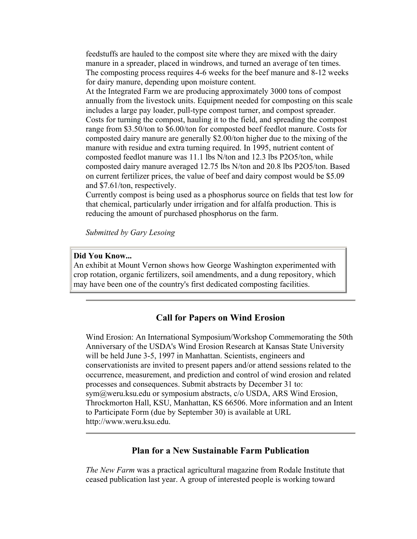feedstuffs are hauled to the compost site where they are mixed with the dairy manure in a spreader, placed in windrows, and turned an average of ten times. The composting process requires 4-6 weeks for the beef manure and 8-12 weeks for dairy manure, depending upon moisture content.

At the Integrated Farm we are producing approximately 3000 tons of compost annually from the livestock units. Equipment needed for composting on this scale includes a large pay loader, pull-type compost turner, and compost spreader. Costs for turning the compost, hauling it to the field, and spreading the compost range from \$3.50/ton to \$6.00/ton for composted beef feedlot manure. Costs for composted dairy manure are generally \$2.00/ton higher due to the mixing of the manure with residue and extra turning required. In 1995, nutrient content of composted feedlot manure was 11.1 lbs N/ton and 12.3 lbs P2O5/ton, while composted dairy manure averaged 12.75 lbs N/ton and 20.8 lbs P2O5/ton. Based on current fertilizer prices, the value of beef and dairy compost would be \$5.09 and \$7.61/ton, respectively.

Currently compost is being used as a phosphorus source on fields that test low for that chemical, particularly under irrigation and for alfalfa production. This is reducing the amount of purchased phosphorus on the farm.

*Submitted by Gary Lesoing*

#### **Did You Know...**

An exhibit at Mount Vernon shows how George Washington experimented with crop rotation, organic fertilizers, soil amendments, and a dung repository, which may have been one of the country's first dedicated composting facilities.

#### **Call for Papers on Wind Erosion**

Wind Erosion: An International Symposium/Workshop Commemorating the 50th Anniversary of the USDA's Wind Erosion Research at Kansas State University will be held June 3-5, 1997 in Manhattan. Scientists, engineers and conservationists are invited to present papers and/or attend sessions related to the occurrence, measurement, and prediction and control of wind erosion and related processes and consequences. Submit abstracts by December 31 to: sym@weru.ksu.edu or symposium abstracts, c/o USDA, ARS Wind Erosion, Throckmorton Hall, KSU, Manhattan, KS 66506. More information and an Intent to Participate Form (due by September 30) is available at URL http://www.weru.ksu.edu.

#### **Plan for a New Sustainable Farm Publication**

*The New Farm* was a practical agricultural magazine from Rodale Institute that ceased publication last year. A group of interested people is working toward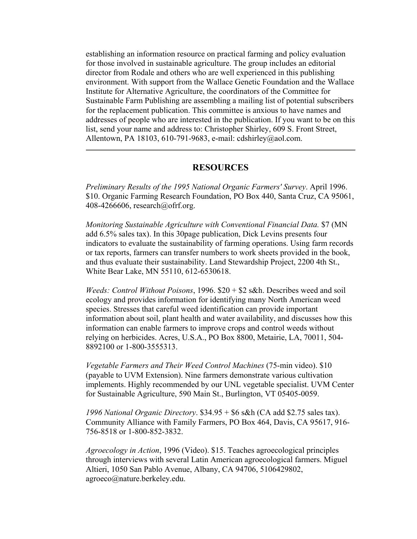establishing an information resource on practical farming and policy evaluation for those involved in sustainable agriculture. The group includes an editorial director from Rodale and others who are well experienced in this publishing environment. With support from the Wallace Genetic Foundation and the Wallace Institute for Alternative Agriculture, the coordinators of the Committee for Sustainable Farm Publishing are assembling a mailing list of potential subscribers for the replacement publication. This committee is anxious to have names and addresses of people who are interested in the publication. If you want to be on this list, send your name and address to: Christopher Shirley, 609 S. Front Street, Allentown, PA 18103, 610-791-9683, e-mail: cdshirley@aol.com.

#### **RESOURCES**

*Preliminary Results of the 1995 National Organic Farmers' Survey*. April 1996. \$10. Organic Farming Research Foundation, PO Box 440, Santa Cruz, CA 95061, 408-4266606, research@ofrf.org.

*Monitoring Sustainable Agriculture with Conventional Financial Data.* \$7 (MN add 6.5% sales tax). In this 30page publication, Dick Levins presents four indicators to evaluate the sustainability of farming operations. Using farm records or tax reports, farmers can transfer numbers to work sheets provided in the book, and thus evaluate their sustainability. Land Stewardship Project, 2200 4th St., White Bear Lake, MN 55110, 612-6530618.

*Weeds: Control Without Poisons*, 1996. \$20 + \$2 s&h. Describes weed and soil ecology and provides information for identifying many North American weed species. Stresses that careful weed identification can provide important information about soil, plant health and water availability, and discusses how this information can enable farmers to improve crops and control weeds without relying on herbicides. Acres, U.S.A., PO Box 8800, Metairie, LA, 70011, 504- 8892100 or 1-800-3555313.

*Vegetable Farmers and Their Weed Control Machines* (75-min video). \$10 (payable to UVM Extension). Nine farmers demonstrate various cultivation implements. Highly recommended by our UNL vegetable specialist. UVM Center for Sustainable Agriculture, 590 Main St., Burlington, VT 05405-0059.

*1996 National Organic Directory*. \$34.95 + \$6 s&h (CA add \$2.75 sales tax). Community Alliance with Family Farmers, PO Box 464, Davis, CA 95617, 916- 756-8518 or 1-800-852-3832.

*Agroecology in Action*, 1996 (Video). \$15. Teaches agroecological principles through interviews with several Latin American agroecological farmers. Miguel Altieri, 1050 San Pablo Avenue, Albany, CA 94706, 5106429802, agroeco@nature.berkeley.edu.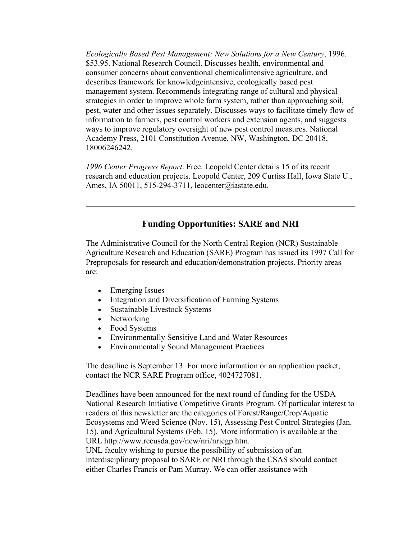*Ecologically Based Pest Management: New Solutions for a New Century*, 1996. \$53.95. National Research Council. Discusses health, environmental and consumer concerns about conventional chemicalintensive agriculture, and describes framework for knowledgeintensive, ecologically based pest management system. Recommends integrating range of cultural and physical strategies in order to improve whole farm system, rather than approaching soil, pest, water and other issues separately. Discusses ways to facilitate timely flow of information to farmers, pest control workers and extension agents, and suggests ways to improve regulatory oversight of new pest control measures. National Academy Press, 2101 Constitution Avenue, NW, Washington, DC 20418, 18006246242.

*1996 Center Progress Report*. Free. Leopold Center details 15 of its recent research and education projects. Leopold Center, 209 Curtiss Hall, Iowa State U., Ames, IA 50011, 515-294-3711, leocenter@iastate.edu.

#### **Funding Opportunities: SARE and NRI**

The Administrative Council for the North Central Region (NCR) Sustainable Agriculture Research and Education (SARE) Program has issued its 1997 Call for Preproposals for research and education/demonstration projects. Priority areas are:

- Emerging Issues
- Integration and Diversification of Farming Systems
- Sustainable Livestock Systems
- Networking
- Food Systems
- Environmentally Sensitive Land and Water Resources
- Environmentally Sound Management Practices

The deadline is September 13. For more information or an application packet, contact the NCR SARE Program office, 4024727081.

Deadlines have been announced for the next round of funding for the USDA National Research Initiative Competitive Grants Program. Of particular interest to readers of this newsletter are the categories of Forest/Range/Crop/Aquatic Ecosystems and Weed Science (Nov. 15), Assessing Pest Control Strategies (Jan. 15), and Agricultural Systems (Feb. 15). More information is available at the URL http://www.reeusda.gov/new/nri/nricgp.htm.

UNL faculty wishing to pursue the possibility of submission of an interdisciplinary proposal to SARE or NRI through the CSAS should contact either Charles Francis or Pam Murray. We can offer assistance with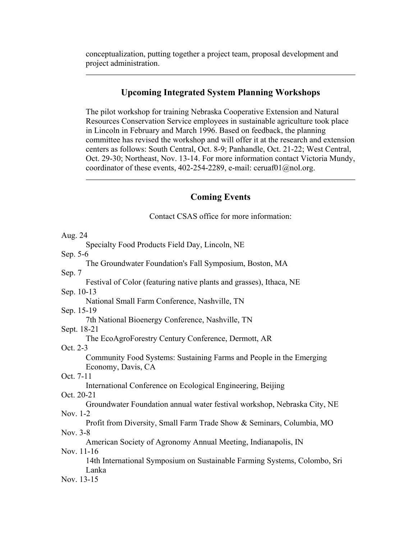conceptualization, putting together a project team, proposal development and project administration.

#### **Upcoming Integrated System Planning Workshops**

The pilot workshop for training Nebraska Cooperative Extension and Natural Resources Conservation Service employees in sustainable agriculture took place in Lincoln in February and March 1996. Based on feedback, the planning committee has revised the workshop and will offer it at the research and extension centers as follows: South Central, Oct. 8-9; Panhandle, Oct. 21-22; West Central, Oct. 29-30; Northeast, Nov. 13-14. For more information contact Victoria Mundy, coordinator of these events, 402-254-2289, e-mail: ceruaf $01$   $@no$  l.org.

#### **Coming Events**

Contact CSAS office for more information:

Aug. 24 Specialty Food Products Field Day, Lincoln, NE Sep. 5-6 The Groundwater Foundation's Fall Symposium, Boston, MA Sep. 7 Festival of Color (featuring native plants and grasses), Ithaca, NE Sep. 10-13 National Small Farm Conference, Nashville, TN Sep. 15-19 7th National Bioenergy Conference, Nashville, TN Sept. 18-21 The EcoAgroForestry Century Conference, Dermott, AR Oct. 2-3 Community Food Systems: Sustaining Farms and People in the Emerging Economy, Davis, CA Oct. 7-11 International Conference on Ecological Engineering, Beijing Oct. 20-21 Groundwater Foundation annual water festival workshop, Nebraska City, NE Nov. 1-2 Profit from Diversity, Small Farm Trade Show & Seminars, Columbia, MO Nov. 3-8 American Society of Agronomy Annual Meeting, Indianapolis, IN Nov. 11-16 14th International Symposium on Sustainable Farming Systems, Colombo, Sri Lanka Nov. 13-15